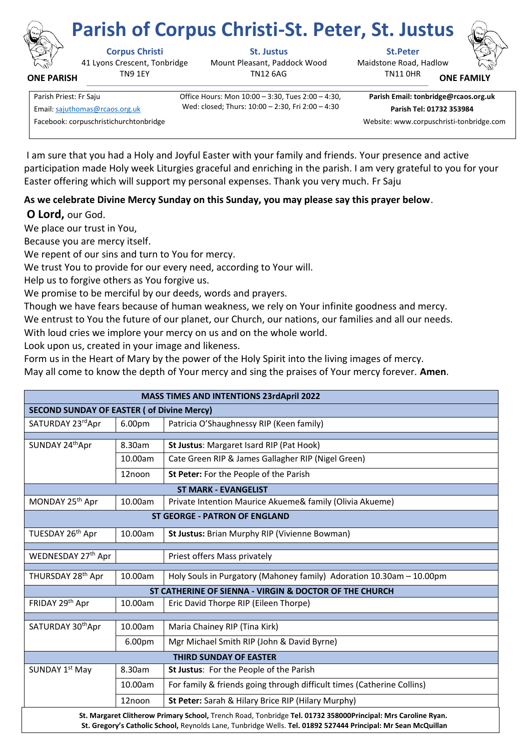

**ONE PARISH**

# **Corpus Christi St. Justus St.Peter Parish of Corpus Christi-St. Peter, St. Justus**

41 Lyons Crescent, Tonbridge TN9 1EY

Mount Pleasant, Paddock Wood TN12 6AG

Maidstone Road, Hadlow TN11 0HR **ONE FAMI** 



Parish Priest: Fr Saju Office Hours: Mon 10:00 – 3:30, Tues 2:00 – 4:30, Wed: closed; Thurs: 10:00 – 2:30, Fri 2:00 – 4:30 Email[: sajuthomas@rcaos.org.uk](about:blank) **Parish Tel: 01732 353984**

**Parish Email: tonbridge@rcaos.org.uk**

Facebook: corpuschristichurchtonbridge Website: www.corpuschristi-tonbridge.com

I am sure that you had a Holy and Joyful Easter with your family and friends. Your presence and active participation made Holy week Liturgies graceful and enriching in the parish. I am very grateful to you for your Easter offering which will support my personal expenses. Thank you very much. Fr Saju

## **As we celebrate Divine Mercy Sunday on this Sunday, you may please say this prayer below**.

## **O Lord,** our God.

We place our trust in You,

Because you are mercy itself.

We repent of our sins and turn to You for mercy.

We trust You to provide for our every need, according to Your will.

Help us to forgive others as You forgive us.

We promise to be merciful by our deeds, words and prayers.

Though we have fears because of human weakness, we rely on Your infinite goodness and mercy.

We entrust to You the future of our planet, our Church, our nations, our families and all our needs.

With loud cries we implore your mercy on us and on the whole world.

Look upon us, created in your image and likeness.

Form us in the Heart of Mary by the power of the Holy Spirit into the living images of mercy.

May all come to know the depth of Your mercy and sing the praises of Your mercy forever. **Amen**.

| <b>MASS TIMES AND INTENTIONS 23rdApril 2022</b>                                                                                                                                                                               |                    |                                                                        |
|-------------------------------------------------------------------------------------------------------------------------------------------------------------------------------------------------------------------------------|--------------------|------------------------------------------------------------------------|
| <b>SECOND SUNDAY OF EASTER ( of Divine Mercy)</b>                                                                                                                                                                             |                    |                                                                        |
| SATURDAY 23rdApr                                                                                                                                                                                                              | 6.00 <sub>pm</sub> | Patricia O'Shaughnessy RIP (Keen family)                               |
|                                                                                                                                                                                                                               |                    |                                                                        |
| SUNDAY 24th Apr                                                                                                                                                                                                               | 8.30am             | St Justus: Margaret Isard RIP (Pat Hook)                               |
|                                                                                                                                                                                                                               | 10.00am            | Cate Green RIP & James Gallagher RIP (Nigel Green)                     |
|                                                                                                                                                                                                                               | 12noon             | St Peter: For the People of the Parish                                 |
| <b>ST MARK - EVANGELIST</b>                                                                                                                                                                                                   |                    |                                                                        |
| MONDAY 25 <sup>th</sup> Apr                                                                                                                                                                                                   | 10.00am            | Private Intention Maurice Akueme& family (Olivia Akueme)               |
| <b>ST GEORGE - PATRON OF ENGLAND</b>                                                                                                                                                                                          |                    |                                                                        |
| TUESDAY 26th Apr                                                                                                                                                                                                              | 10.00am            | St Justus: Brian Murphy RIP (Vivienne Bowman)                          |
|                                                                                                                                                                                                                               |                    |                                                                        |
| WEDNESDAY 27th Apr                                                                                                                                                                                                            |                    | Priest offers Mass privately                                           |
| THURSDAY 28th Apr                                                                                                                                                                                                             | 10.00am            | Holy Souls in Purgatory (Mahoney family) Adoration 10.30am - 10.00pm   |
| ST CATHERINE OF SIENNA - VIRGIN & DOCTOR OF THE CHURCH                                                                                                                                                                        |                    |                                                                        |
| FRIDAY 29 <sup>th</sup> Apr                                                                                                                                                                                                   | 10.00am            | Eric David Thorpe RIP (Eileen Thorpe)                                  |
|                                                                                                                                                                                                                               |                    |                                                                        |
| SATURDAY 30thApr                                                                                                                                                                                                              | 10.00am            | Maria Chainey RIP (Tina Kirk)                                          |
|                                                                                                                                                                                                                               | 6.00pm             | Mgr Michael Smith RIP (John & David Byrne)                             |
| <b>THIRD SUNDAY OF EASTER</b>                                                                                                                                                                                                 |                    |                                                                        |
| SUNDAY 1st May                                                                                                                                                                                                                | 8.30am             | St Justus: For the People of the Parish                                |
|                                                                                                                                                                                                                               | 10.00am            | For family & friends going through difficult times (Catherine Collins) |
|                                                                                                                                                                                                                               | 12noon             | St Peter: Sarah & Hilary Brice RIP (Hilary Murphy)                     |
| St. Margaret Clitherow Primary School, Trench Road, Tonbridge Tel. 01732 358000Principal: Mrs Caroline Ryan.<br>St. Gregory's Catholic School, Reynolds Lane, Tunbridge Wells. Tel. 01892 527444 Principal: Mr Sean McQuillan |                    |                                                                        |